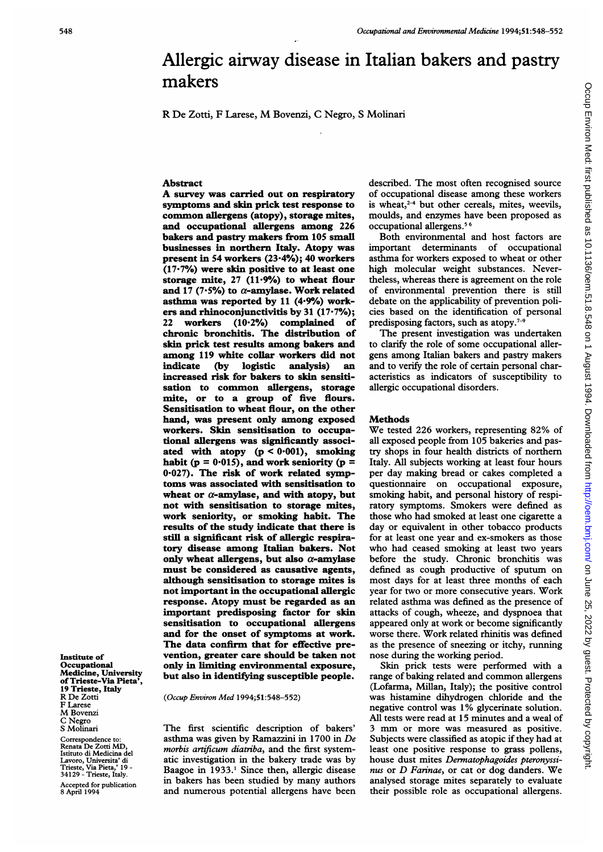# Allergic airway disease in Italian bakers and pastry makers

R De Zotti, <sup>F</sup> Larese, M Bovenzi, <sup>C</sup> Negro, <sup>S</sup> Molinari

### Abstract

A survey was carried out on respiratory symptoms and skin prick test response to common allergens (atopy), storage mites, and occupational allergens among 226 bakers and pastry makers from 105 small businesses in northern Italy. Atopy was present in 54 workers (23.4%); 40 workers (17.7%) were skin positive to at least one storage mite,  $27$  (11.9%) to wheat flour and 17 (7.5%) to  $\alpha$ -amylase. Work related asthma was reported by 11  $(4.9%)$  workers and rhinoconjunctivitis by 31 (17.7%); 22 workers (10.2%) complained of chronic bronchitis. The distribution of skin prick test results among bakers and among 119 white collar workers did not<br>indicate (by logistic analysis) an analysis) an increased risk for bakers to skin sensitisation to common allergens, storage mite, or to a group of five flours. Sensitisation to wheat flour, on the other hand, was present only among exposed workers. Skin sensitisation to occupational allergens was significantly associated with atopy  $(p < 0.001)$ , smoking habit (p =  $0.015$ ), and work seniority (p = 0.027). The risk of work related symptoms was associated with sensitisation to wheat or  $\alpha$ -amylase, and with atopy, but not with sensitisation to storage mites, work seniority, or smoking habit. The results of the study indicate that there is still a significant risk of allergic respiratory disease among Italian bakers. Not only wheat allergens, but also  $\alpha$ -amylase must be considered as causative agents, although sensitisation to storage mites is not important in the occupational allergic response. Atopy must be regarded as an important predisposing factor for skin sensitisation to occupational allergens and for the onset of symptoms at work. The data confirm that for effective prevention, greater care should be taken not only in limiting environmental exposure, but also in identifying susceptible people.

(Occup Environ Med 1994;51:548-552)

The first scientific description of bakers' asthma was given by Ramazzini in 1700 in De morbis artificum diatriba, and the first systematic investigation in the bakery trade was by Baagoe in 1933.<sup>1</sup> Since then, allergic disease in bakers has been studied by many authors and numerous potential allergens have been

described. The most often recognised source of occupational disease among these workers is wheat, $2-4$  but other cereals, mites, weevils, moulds, and enzymes have been proposed as occupational allergens.5 <sup>6</sup>

Both environmental and host factors are important determinants of occupational asthma for workers exposed to wheat or other high molecular weight substances. Nevertheless, whereas there is agreement on the role of environmental prevention there is still debate on the applicability of prevention policies based on the identification of personal predisposing factors, such as atopy.<sup>7-9</sup>

The present investigation was undertaken to clarify the role of some occupational allergens among Italian bakers and pastry makers and to verify the role of certain personal characteristics as indicators of susceptibility to allergic occupational disorders.

## **Methods**

We tested 226 workers, representing 82% of all exposed people from 105 bakeries and pastry shops in four health districts of northern Italy. All subjects working at least four hours per day making bread or cakes completed a questionnaire on occupational exposure, smoking habit, and personal history of respiratory symptoms. Smokers were defined as those who had smoked at least one cigarette <sup>a</sup> day or equivalent in other tobacco products for at least one year and ex-smokers as those who had ceased smoking at least two years before the study. Chronic bronchitis was defined as cough productive of sputum on most days for at least three months of each year for two or more consecutive years. Work related asthma was defined as the presence of attacks of cough, wheeze, and dyspnoea that appeared only at work or become significantly worse there. Work related rhinitis was defined as the presence of sneezing or itchy, running nose during the working period.

Skin prick tests were performed with a range of baking related and common allergens (Lofarma, Millan, Italy); the positive control was histamine dihydrogen chloride and the negative control was 1% glycerinate solution. All tests were read at 15 minutes and a weal of <sup>3</sup> mm or more was measured as positive. Subjects were classified as atopic if they had at least one positive response to grass pollens, house dust mites Dermatophagoides pteronyssinus or D Farinae, or cat or dog danders. We analysed storage mites separately to evaluate their possible role as occupational allergens.

Institute of **Occupational** Medicine, University of Trieste-Via Pieta', 19 Trieste, Italy R De Zotti F Larese M Bovenzi C Negro S Molinari

Correspondence to Renata De Zotti MD, Istituto di Medicina del Lavoro, Universita' di Trieste, Via Pieta,' 19 - 34129 - Trieste, Italy. Accepted for publication 8 April 1994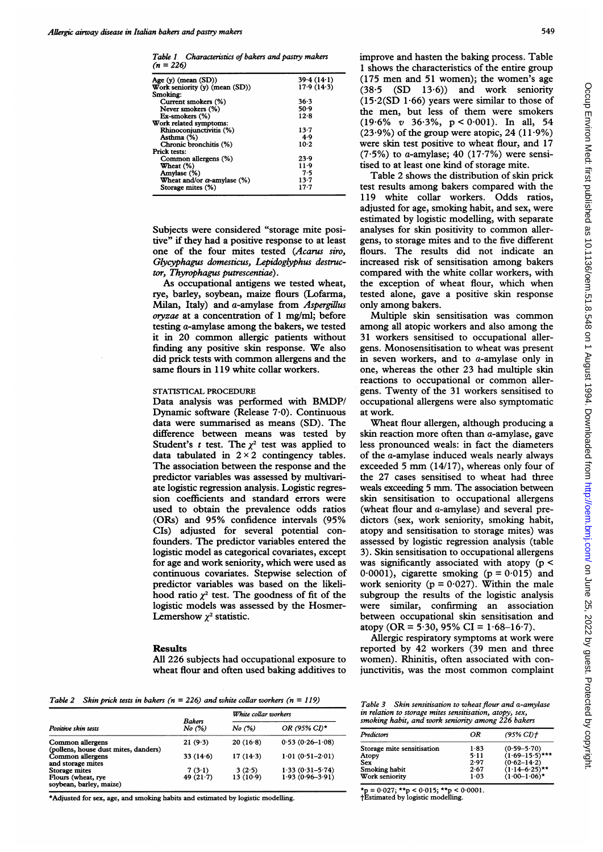Table <sup>1</sup> Characteristics of bakers and pastry makers  $(n = 226)$ 

| Age (y) (mean (SD))                                 | 39.4(14.1) |
|-----------------------------------------------------|------------|
| Work seniority $(y)$ (mean $(SD)$ )                 | 17.9(14.3) |
| Smoking:                                            |            |
| Current smokers (%)                                 | 36.3       |
| Never smokers (%)                                   | 50.9       |
| Ex-smokers (%)                                      | 12.8       |
| Work related symptoms:                              |            |
| Rhinoconjunctivitis (%)                             | $13-7$     |
| Asthma (%)                                          | 4.9        |
| Chronic bronchitis (%)                              | $10-2$     |
| Prick tests:                                        |            |
| Common allergens (%)                                | 23.9       |
| Wheat (%)                                           | $11-9$     |
| Amylase (%)                                         | 7.5        |
| <b>Wheat and/or <math>\alpha</math>-amylase</b> (%) | $13 - 7$   |
| Storage mites (%)                                   | $17-7$     |

Subjects were considered "storage mite positive" if they had a positive response to at least one of the four mites tested (Acarus siro, Glycyphagus domesticus, Lepidoglyphus destructor, Thyrophagus putrescentiae).

As occupational antigens we tested wheat, rye, barley, soybean, maize flours (Lofarma, Milan, Italy) and a-amylase from Aspergillus oryzae at a concentration of <sup>1</sup> mg/ml; before testing a-amylase among the bakers, we tested it in 20 common allergic patients without finding any positive skin response. We also did prick tests with common allergens and the same flours in <sup>1</sup> 19 white collar workers.

#### STATISTICAL PROCEDURE

Data analysis was performed with BMDP/ Dynamic software (Release 7 0). Continuous data were summarised as means (SD). The difference between means was tested by Student's t test. The  $\chi^2$  test was applied to data tabulated in  $2 \times 2$  contingency tables. The association between the response and the predictor variables was assessed by multivariate logistic regression analysis. Logistic regression coefficients and standard errors were used to obtain the prevalence odds ratios (ORs) and 95% confidence intervals (95% CIs) adjusted for several potential confounders. The predictor variables entered the logistic model as categorical covariates, except for age and work seniority, which were used as continuous covariates. Stepwise selection of predictor variables was based on the likelihood ratio  $\chi^2$  test. The goodness of fit of the logistic models was assessed by the Hosmer-Lemershow  $\chi^2$  statistic.

#### Results

All 226 subjects had occupational exposure to wheat flour and often used baking additives to

Table 2 Skin prick tests in bakers ( $n = 226$ ) and white collar workers ( $n = 119$ )

| <b>Bakers</b><br>No (%)<br>Positive skin tests           |             | White collar workers |                     |
|----------------------------------------------------------|-------------|----------------------|---------------------|
|                                                          |             | No (%)               | OR (95% CI)*        |
| Common allergens<br>(pollens, house dust mites, danders) | 21(9.3)     | $20(16-8)$           | $0.53(0.26-1.08)$   |
| Common allergens<br>and storage mites                    | 33(14.6)    | 17(143)              | $1.01(0.51 - 2.01)$ |
| Storage mites                                            | 7(3.1)      | 3(2.5)               | $1.33(0.31 - 5.74)$ |
| Flours (wheat, rye<br>soybean, barley, maize)            | 49 $(21.7)$ | $13(10-9)$           | $1.93(0.96 - 3.91)$ |

\*Adjusted for sex, age, and smoking habits and estimated by logistic modelling.

549

improve and hasten the baking process. Table <sup>1</sup> shows the characteristics of the entire group (175 men and 51 women); the women's age  $(38.5 \t(SD \t13.6))$  and work seniority  $(15.2(SD 1.66)$  years were similar to those of the men, but less of them were smokers (19-6% v 36-3%, p < 0-001). In all, 54  $(23.9\%)$  of the group were atopic, 24  $(11.9\%)$ were skin test positive to wheat flour, and 17 (7.5%) to a-amylase; 40 (17.7%) were sensitised to at least one kind of storage mite.

Table 2 shows the distribution of skin prick test results among bakers compared with the 119 white collar workers. Odds ratios, adjusted for age, smoking habit, and sex, were estimated by logistic modelling, with separate analyses for skin positivity to common allergens, to storage mites and to the five different flours. The results did not indicate an increased risk of sensitisation among bakers compared with the white collar workers, with the exception of wheat flour, which when tested alone, gave a positive skin response only among bakers.

Multiple skin sensitisation was common among all atopic workers and also among the 31 workers sensitised to occupational allergens. Monosensitisation to wheat was present in seven workers, and to a-amylase only in one, whereas the other 23 had multiple skin reactions to occupational or common allergens. Twenty of the 31 workers sensitised to occupational allergens were also symptomatic at work.

Wheat flour allergen, although producing a skin reaction more often than  $a$ -amylase, gave less pronounced weals: in fact the diameters of the a-amylase induced weals nearly always exceeded <sup>5</sup> mm (14/17), whereas only four of the 27 cases sensitised to wheat had three weals exceeding <sup>5</sup> mm. The association between skin sensitisation to occupational allergens (wheat flour and a-amylase) and several predictors (sex, work seniority, smoking habit, atopy and sensitisation to storage mites) was assessed by logistic regression analysis (table 3). Skin sensitisation to occupational allergens was significantly associated with atopy  $(p <$ 0.0001), cigarette smoking ( $p = 0.015$ ) and work seniority ( $p = 0.027$ ). Within the male subgroup the results of the logistic analysis were similar, confirming an association between occupational skin sensitisation and atopy (OR =  $5.30$ ,  $95\%$  CI =  $1.68-16.7$ ).

Allergic respiratory symptoms at work were reported by 42 workers (39 men and three women). Rhinitis, often associated with conjunctivitis, was the most common complaint

Table  $3$  Skin sensitisation to wheat flour and a-amylase in relation to storage mites sensitisation, atopy, sex, smoking habit, and work seniority among 226 bakers

| Predictors                 | ΟR       | $(95\% \, \text{CI})$ † |
|----------------------------|----------|-------------------------|
| Storage mite sensitisation | 1.83     | $(0.59 - 5.70)$         |
| Atopy                      | $5 - 11$ | $(1.69 - 15.5)$ ***     |
| Sex                        | 2.97     | $(0.62 - 14.2)$         |
| Smoking habit              | 2.67     | $(1.14 - 6.25)$ **      |
| Work seniority             | 1.03     | $(1.00 - 1.06)$ *       |

\*p =  $0.027$ ; \*\*p <  $0.015$ ; \*\*p <  $0.0001$ .<br>†Estimated by logistic modelling.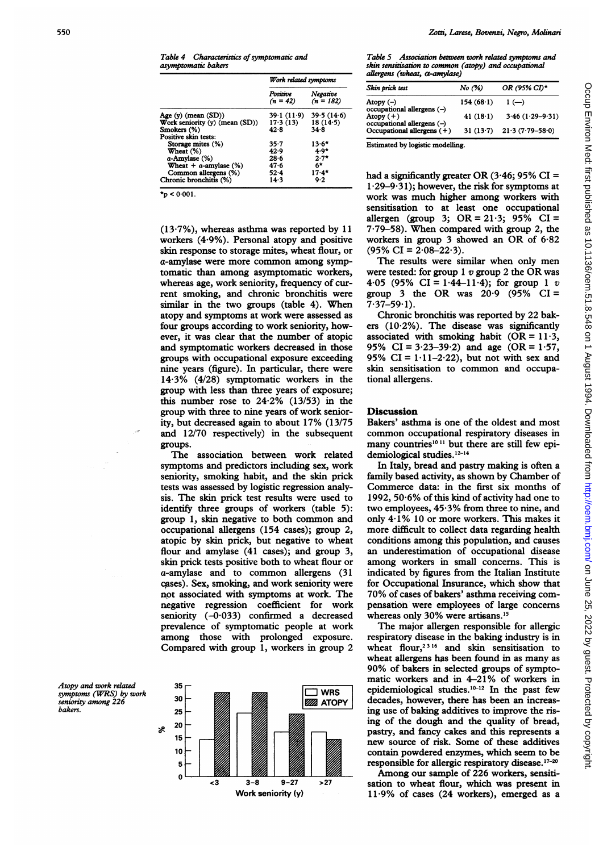Table 4 Characteristics of symptomatic and asymptomatic bakers

|                                | Work related symptoms  |                         |
|--------------------------------|------------------------|-------------------------|
|                                | Positive<br>$(n = 42)$ | Negative<br>$(n = 182)$ |
| Age $(y)$ (mean $(SD)$ )       | 39.1(11.9)             | 39.5(14.6)              |
| Work seniority (y) (mean (SD)) | 17.3(13)               | 18(14.5)                |
| Smokers (%)                    | 42.8                   | 34.8                    |
| Positive skin tests:           |                        |                         |
| Storage mites (%)              | 35-7                   | $13.6*$                 |
| Wheat (%)                      | 42.9                   | $4.9*$                  |
| $a$ -Amylase $(\%)$            | 28.6                   | $2.7*$                  |
| Wheat $+$ a-amylase $(\%)$     | 47.6                   | 6*                      |
| Common allergens (%)           | $52 - 4$               | $17.4*$                 |
| Chronic bronchitis (%)         | 14.3                   | 9.2                     |

 $\star_p < 0.001$ .

(13-7%), whereas asthma was reported by 11 workers (4.9%). Personal atopy and positive skin response to storage mites, wheat flour, or a-amylase were more common among symptomatic than among asymptomatic workers, whereas age, work seniority, frequency of current smoking, and chronic bronchitis were similar in the two groups (table 4). When atopy and symptoms at work were assessed as four groups according to work seniority, however, it was clear that the number of atopic and symptomatic workers decreased in those groups with occupational exposure exceeding nine years (figure). In particular, there were 14 3% (4/28) symptomatic workers in the group with less than three years of exposure; this number rose to 24-2% (13/53) in the group with three to nine years of work seniority, but decreased again to about 17% (13/75 and 12/70 respectively) in the subsequent groups.

The association between work related symptoms and predictors including sex, work seniority, smoking habit, and the skin prick tests was assessed by logistic regression analysis. The skin prick test results were used to identify three groups of workers (table 5): group 1, skin negative to both common and occupational allergens (154 cases); group 2, atopic by skin prick, but negative to wheat flour and amylase (41 cases); and group 3, skin prick tests positive both to wheat flour or a-amylase and to common allergens (31 cases). Sex, smoking, and work seniority were not associated with symptoms at work. The negative regression coefficient for work seniority  $(-0.033)$  confirmed a decreased prevalence of symptomatic people at work among those with prolonged exposure. Compared with group 1, workers in group 2

Atopy and work related symptoms (WRS) by work seniority among 226 bakers.



Table 5 Association between work related symptoms and skin sensitisation to common (atopy) and occupational allergens (wheat, a-amylase)

| Skin prick test                                            | No (%)      | OR (95% CI)*                   |
|------------------------------------------------------------|-------------|--------------------------------|
| Atopy $(-)$                                                | 154(68.1)   | $1(-)$                         |
| $occupational$ allergens $(-)$<br>Atopy $(+)$              | 41 $(18.1)$ | $3.46$ (1.29-9.31)             |
| occupational allergens (-)<br>Occupational allergens $(+)$ |             | 31 $(13.7)$ 21.3 $(7.79-58.0)$ |

Estimated by logistic modelling.

had a significantly greater OR  $(3.46; 95\% \text{ CI} =$  $1.29-9.31$ ; however, the risk for symptoms at work was much higher among workers with sensitisation to at least one occupational allergen (group 3;  $OR = 21.3$ ;  $95\%$   $CI =$ 7 79-58). When compared with group 2, the workers in group <sup>3</sup> showed an OR of 6-82  $(95\% \text{ CI} = 2.08 - 22.3).$ 

The results were similar when only men were tested: for group  $1 v$  group 2 the OR was 4.05 (95% CI = 1.44-11.4); for group 1 v group 3 the OR was  $20.9$  (95% CI =  $7.37 - 59.1$ .

Chronic bronchitis was reported by 22 bakers (10-2%). The disease was significantly associated with smoking habit (OR =  $11.3$ , 95% CI =  $3.23-39.2$ ) and age (OR =  $1.57$ , 95% CI =  $1.11-2.22$ ), but not with sex and skin sensitisation to common and occupational allergens.

## **Discussion**

Bakers' asthma is one of the oldest and most common occupational respiratory diseases in many countries<sup>1011</sup> but there are still few epidemiological studies.<sup>12-14</sup>

In Italy, bread and pastry making is often a family based activity, as shown by Chamber of Commerce data: in the first six months of 1992, 50-6% of this kind of activity had one to two employees, 45-3% from three to nine, and only 4-1% 10 or more workers. This makes it more difficult to collect data regarding health conditions among this population, and causes an underestimation of occupational disease among workers in small concerns. This is indicated by figures from the Italian Institute for Occupational Insurance, which show that 70% of cases of bakers' asthma receiving compensation were employees of large concerns whereas only 30% were artisans.<sup>15</sup>

The major allergen responsible for allergic respiratory disease in the baking industry is in wheat flour,<sup>2316</sup> and skin sensitisation to wheat allergens has been found in as many as 90% of bakers in selected groups of symptomatic workers and in 4-21% of workers in epidemiological studies.<sup>10-12</sup> In the past few decades, however, there has been an increasing use of baking additives to improve the rising of the dough and the quality of bread, pastry, and fancy cakes and this represents a new source of risk. Some of these additives contain powdered enzymes, which seem to be responsible for allergic respiratory disease.<sup>17-20</sup>

Among our sample of 226 workers, sensitisation to wheat flour, which was present in  $11.9\%$  of cases (24 workers), emerged as a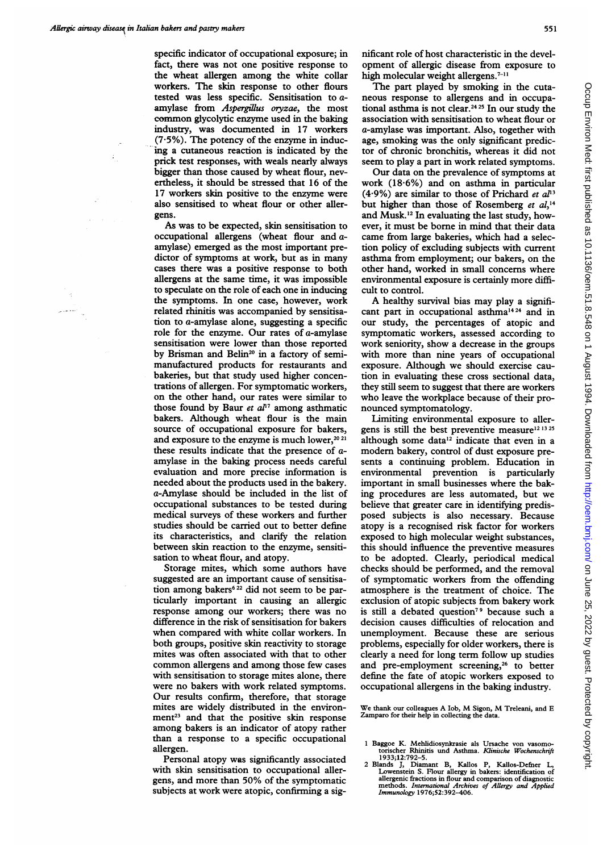specific indicator of occupational exposure; in fact, there was not one positive response to the wheat allergen among the white collar workers. The skin response to other flours tested was less specific. Sensitisation to a amylase from Aspergillus oryzae, the most common glycolytic enzyme used in the baking industry, was documented in 17 workers  $(7.5\%)$ . The potency of the enzyme in inducing a cutaneous reaction is indicated by the prick test responses, with weals nearly always bigger than those caused by wheat flour, nevertheless, it should be stressed that 16 of the 17 workers skin positive to the enzyme were also sensitised to wheat flour or other allergens.

As was to be expected, skin sensitisation to occupational allergens (wheat flour and aamylase) emerged as the most important predictor of symptoms at work, but as in many cases there was a positive response to both allergens at the same time, it was impossible to speculate on the role of each one in inducing the symptoms. In one case, however, work related rhinitis was accompanied by sensitisation to a-amylase alone, suggesting a specific role for the enzyme. Our rates of a-amylase sensitisation were lower than those reported by Brisman and Belin<sup>20</sup> in a factory of semimanufactured products for restaurants and bakeries, but that study used higher concentrations of allergen. For symptomatic workers, on the other hand, our rates were similar to those found by Baur et  $a^{p}$  among asthmatic bakers. Although wheat flour is the main source of occupational exposure for bakers, and exposure to the enzyme is much lower,<sup>20 21</sup> these results indicate that the presence of aamylase in the baking process needs careful evaluation and more precise information is needed about the products used in the bakery. a-Amylase should be included in the list of occupational substances to be tested during medical surveys of these workers and further studies should be carried out to better define its characteristics, and clarify the relation between skin reaction to the enzyme, sensitisation to wheat flour, and atopy.

Storage mites, which some authors have suggested are an important cause of sensitisation among bakers<sup>6 22</sup> did not seem to be particularly important in causing an allergic response among our workers; there was no difference in the risk of sensitisation for bakers when compared with white collar workers. In both groups, positive skin reactivity to storage mites was often associated with that to other common allergens and among those few cases with sensitisation to storage mites alone, there were no bakers with work related symptoms. Our results confirm, therefore, that storage mites are widely distributed in the environment<sup>23</sup> and that the positive skin response among bakers is an indicator of atopy rather than a response to a specific occupational allergen.

Personal atopy was significantly associated with skin sensitisation to occupational allergens, and more than 50% of the symptomatic subjects at work were atopic, confirming a significant role of host characteristic in the development of allergic disease from exposure to high molecular weight allergens.<sup>7-11</sup>

The part played by smoking in the cutaneous response to allergens and in occupational asthma is not clear.<sup>24 25</sup> In our study the association with sensitisation to wheat flour or a-amylase was important. Also, together with age, smoking was the only significant predictor of chronic bronchitis, whereas it did not seem to play a part in work related symptoms.

Our data on the prevalence of symptoms at work (18-6%) and on asthma in particular (4.9%) are similar to those of Prichard et  $a^{n_3}$ but higher than those of Rosemberg et al,<sup>14</sup> and Musk.'2 In evaluating the last study, however, it must be borne in mind that their data came from large bakeries, which had a selection policy of excluding subjects with current asthma from employment; our bakers, on the other hand, worked in small concerns where environmental exposure is certainly more difficult to control.

A healthy survival bias may play <sup>a</sup> significant part in occupational asthma'424 and in our study, the percentages of atopic and symptomatic workers, assessed according to work seniority, show a decrease in the groups with more than nine years of occupational exposure. Although we should exercise caution in evaluating these cross sectional data, they still seem to suggest that there are workers who leave the workplace because of their pronounced symptomatology.

Limiting environmental exposure to allergens is still the best preventive measure<sup>12 13 25</sup> although some data $12$  indicate that even in a modern bakery, control of dust exposure presents a continuing problem. Education in environmental prevention is particularly important in small businesses where the baking procedures are less automated, but we believe that greater care in identifying predisposed subjects is also necessary. Because atopy is a recognised risk factor for workers exposed to high molecular weight substances, this should influence the preventive measures to be adopted. Clearly, periodical medical checks should be performed, and the removal of symptomatic workers from the offending atmosphere is the treatment of choice. The exclusion of atopic subjects from bakery work is still a debated question<sup>79</sup> because such a decision causes difficulties of relocation and unemployment. Because these are serious problems, especially for older workers, there is clearly a need for long term follow up studies and pre-employment screening,<sup>26</sup> to better define the fate of atopic workers exposed to occupational allergens in the baking industry.

We thank our colleagues A Iob, M Sigon, M Treleani, and <sup>E</sup> Zamparo for their help in collecting the data.

- <sup>1</sup> Baggoe K. Mehlidiosynkrasie als Ursache von vasomo-torischer Rhinitis und Asthma. Klinische Wochenschrift
- <sup>1</sup> 933;12:792-5. 2 Blands J, Diamant B, Kallos P, Kallos-Defner L, Lowenstein S. Flour allergy in bakers: identification of allergenic fractions in flour and comparison of diagnostic methods. International Archives of Allergy and Applied Immunology 1976;52:392-406.